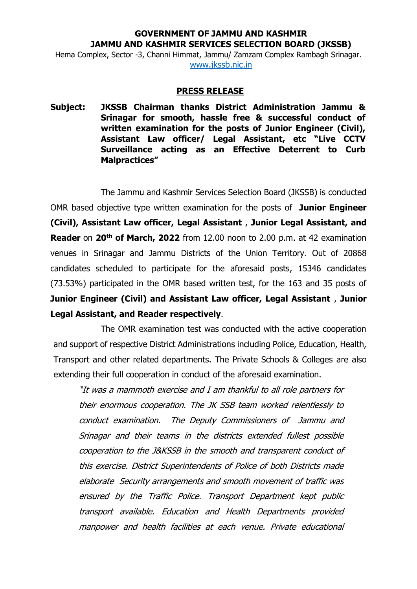## **GOVERNMENT OF JAMMU AND KASHMIR JAMMU AND KASHMIR SERVICES SELECTION BOARD (JKSSB)**

Hema Complex, Sector -3, Channi Himmat, Jammu/ Zamzam Complex Rambagh Srinagar. [www.jkssb.nic.in](http://www.jkssb.nic.in/)

## **PRESS RELEASE**

**Subject: JKSSB Chairman thanks District Administration Jammu & Srinagar for smooth, hassle free & successful conduct of written examination for the posts of Junior Engineer (Civil), Assistant Law officer/ Legal Assistant, etc "Live CCTV Surveillance acting as an Effective Deterrent to Curb Malpractices"**

The Jammu and Kashmir Services Selection Board (JKSSB) is conducted OMR based objective type written examination for the posts of **Junior Engineer (Civil), Assistant Law officer, Legal Assistant** , **Junior Legal Assistant, and Reader** on **20th of March, 2022** from 12.00 noon to 2.00 p.m. at 42 examination venues in Srinagar and Jammu Districts of the Union Territory. Out of 20868 candidates scheduled to participate for the aforesaid posts, 15346 candidates (73.53%) participated in the OMR based written test, for the 163 and 35 posts of **Junior Engineer (Civil) and Assistant Law officer, Legal Assistant** , **Junior Legal Assistant, and Reader respectively**.

The OMR examination test was conducted with the active cooperation and support of respective District Administrations including Police, Education, Health, Transport and other related departments. The Private Schools & Colleges are also extending their full cooperation in conduct of the aforesaid examination.

"It was a mammoth exercise and I am thankful to all role partners for their enormous cooperation. The JK SSB team worked relentlessly to conduct examination. The Deputy Commissioners of Jammu and Srinagar and their teams in the districts extended fullest possible cooperation to the J&KSSB in the smooth and transparent conduct of this exercise. District Superintendents of Police of both Districts made elaborate Security arrangements and smooth movement of traffic was ensured by the Traffic Police. Transport Department kept public transport available. Education and Health Departments provided manpower and health facilities at each venue. Private educational